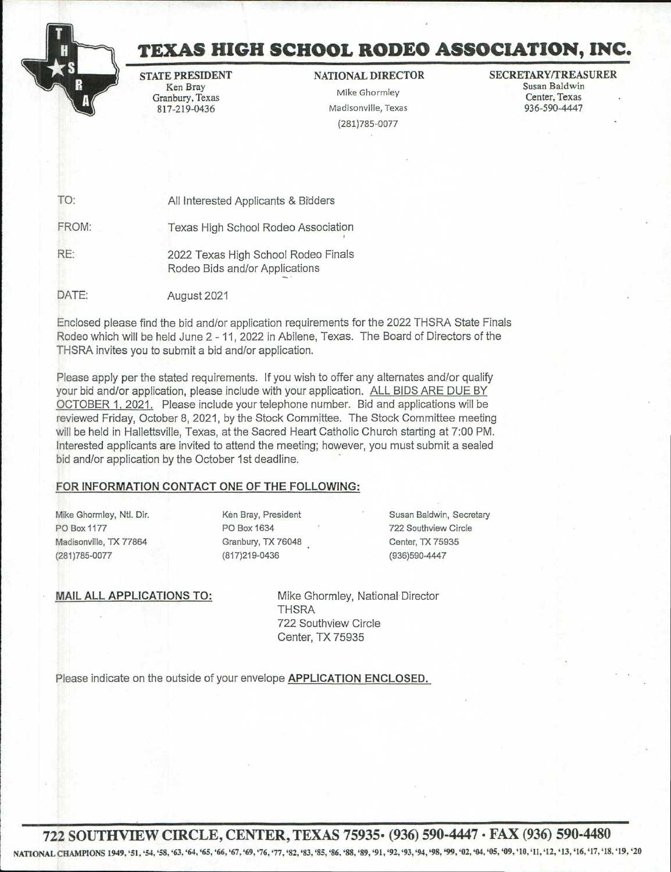

# **TEXAS HIGH SCHOOL RODEO ASSOCIATION, INC.**

STATE PRESIDENT Ken Bray Granbury, Texas 817-219-0436

## NATIONAL DIRECTOR

Mike Ghormley Madisonville, Texas (281)785-0077

#### SECRETARY/TREASURER Susan Baldwin Center, Texas 936-590-4447

TO: All Interested Applicants & Bidders FROM: Texas High School Rodeo Association RE: 2022 Texas High School Rodeo Finals Rodeo Bids and/or Applications DATE: August 2021

Enclosed please find the bid and/or application requirements for the 2022 THSRA State Finals Rodeo which will be held June 2 -11, 2022 in Abilene, Texas. The Board of Directors of the THSRA invites you to submit a bid and/or application.

Please apply per the stated requirements. If you wish to offer any alternates and/or qualify your bid and/or application, please include with your application. ALL BIDS ARE DUE BY OCTOBER 1, 2021. Please include your telephone number. Bid and applications will be reviewed Friday, October 8, 2021, by the Stock Committee. The Stock Committee meeting will be held in Hallettsville, Texas, at the Sacred Heart Catholic Church starting at 7:00 PM. Interested applicants are invited to attend the meeting; however, you must submit a sealed bid and/or application by the October 1st deadline.

## FOR INFORMATION CONTACT ONE OF THE FOLLOWING:

Mike Ghormley, Ntl. Dir. PO Box 1177 Madisonville, TX 77864 (281)785-0077

Ken Bray, President PO Box 1634 Granbury, TX 76048 (817)219-0436

Susan Baldwin, Secretary 722 Southview Circle Center, TX 75935 (936)590-4447

MAIL ALL APPLICATIONS TO:

Mike Ghormley, National Director **THSRA** 722 Southview Circle Center, TX 75935

Please indicate on the outside of your envelope APPLICATION ENCLOSED.

**722 SOUTHVIEW CIRCLE, CENTER, TEXAS 75935• (936) 590-4447 • FAX (936) 590-4480** 

NATIONAL CHAMPIONS 1949, '51, '54, '58, '63, '64, '65, '66, '67, '69, '76, '77, '82, '83, '85, '86, '88, '89, '91, '92, '93, '94, '98, '99, '02, '04, '05, '09, '10, '11, '12, '13, '16, '17, '18, '19, '20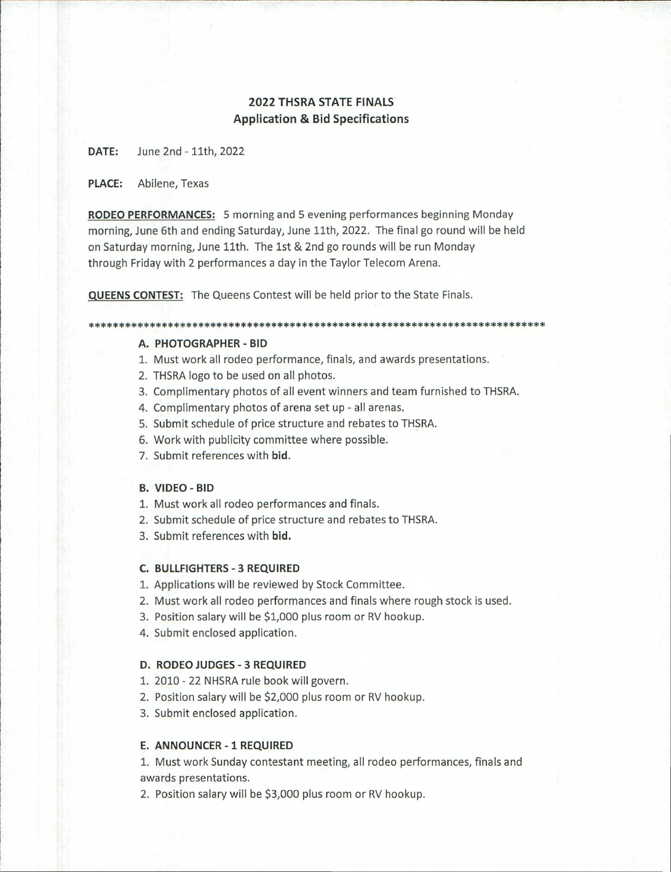# **2022 THSRA STATE FINALS Application & Bid Specifications**

**DATE:** June 2nd - 11th, 2022

**PLACE:** Abilene, Texas

**RODEO PERFORMANCES:** 5 morning and 5 evening performances beginning Monday morning, June 6th and ending Saturday, June 11th, 2022. The final go round will be held on Saturday morning, June 11th. The 1st & 2nd go rounds will be run Monday through Friday with 2 performances a day in the Taylor Telecom Arena.

**QUEENS CONTEST:** The Queens Contest will be held prior to the State Finals.

#### \*\*\*\*\*\*\*\*\*\*\*\*\*\*\*\*\*\*\*\*\*\*\*\*\*\*\*\*\*\*\*\*\*\*\*\*\*\*\*\*\*\*\*\*\*\*\*\*\*\*\*\*\*\*\*\*\*\*\*\*\*\*\*\*\*\*\*\*\*\*\*\*\*\*\*

#### **A. PHOTOGRAPHER - BID**

- 1. Must work all rodeo performance, finals, and awards presentations.
- 2. THSRA logo to be used on all photos.
- 3. Complimentary photos of all event winners and team furnished to THSRA.
- 4. Complimentary photos of arena set up all arenas.
- 5. Submit schedule of price structure and rebates to THSRA.
- 6. Work with publicity committee where possible.
- 7. Submit references with **bid.**

## **B. VIDEO - BID**

- 1. Must work all rodeo performances and finals.
- 2. Submit schedule of price structure and rebates to THSRA.
- 3. Submit references with **bid.**

#### **C. BULLFIGHTERS - 3 REQUIRED**

- 1. Applications will be reviewed by Stock Committee.
- 2. Must work all rodeo performances and finals where rough stock is used.
- 3. Position salary will be \$1,000 plus room or RV hookup.
- 4. Submit enclosed application.

#### **D. RODEO JUDGES - 3 REQUIRED**

- 1. 2010 22 NHSRA rule book will govern.
- 2. Position salary will be \$2,000 plus room or RV hookup.
- 3. Submit enclosed application.

#### **E. ANNOUNCER - 1 REQUIRED**

1. Must work Sunday contestant meeting, all rodeo performances, finals and awards presentations.

2. Position salary will be \$3,000 plus room or RV hookup.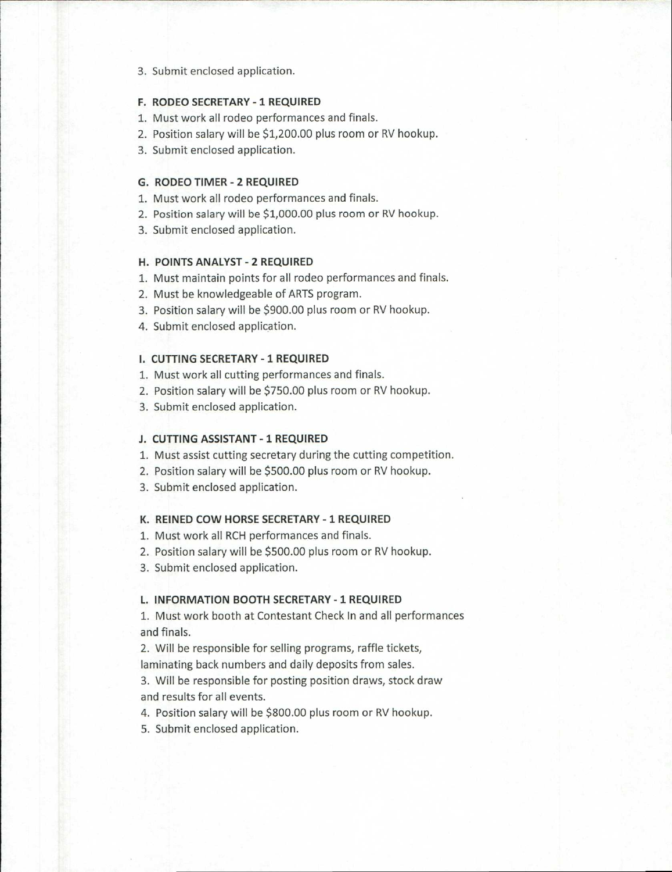#### 3. Submit enclosed application.

#### **F. RODEO SECRETARY - 1 REQUIRED**

- 1. Must work all rodeo performances and finals.
- 2. Position salary will be \$1,200.00 plus room or RV hookup.
- 3. Submit enclosed application.

## **G. RODEO TIMER - 2 REQUIRED**

- 1. Must work all rodeo performances and finals.
- 2. Position salary will be \$1,000.00 plus room or RV hookup.
- 3. Submit enclosed application.

## **H. POINTS ANALYST - 2 REQUIRED**

- 1. Must maintain points for all rodeo performances and finals.
- 2. Must be knowledgeable of ARTS program.
- 3. Position salary will be \$900.00 plus room or RV hookup.
- 4. Submit enclosed application.

## **I. CUTTING SECRETARY - 1 REQUIRED**

- 1. Must work all cutting performances and finals.
- 2. Position salary will be \$750.00 plus room or RV hookup.
- 3. Submit enclosed application.

## **J. CUTTING ASSISTANT - 1 REQUIRED**

- 1. Must assist cutting secretary during the cutting competition.
- 2. Position salary will be \$500.00 plus room or RV hookup.
- 3. Submit enclosed application.

## **K. REINED COW HORSE SECRETARY - 1 REQUIRED**

- 1. Must work all RCH performances and finals.
- 2. Position salary will be \$500.00 plus room or RV hookup.
- 3. Submit enclosed application.

#### **L. INFORMATION BOOTH SECRETARY - 1 REQUIRED**

1. Must work booth at Contestant Check In and all performances and finals.

2. Will be responsible for selling programs, raffle tickets, laminating back numbers and daily deposits from sales.

3. Will be responsible for posting position draws, stock draw and results for all events.

4. Position salary will be \$800.00 plus room or RV hookup.

5. Submit enclosed application.